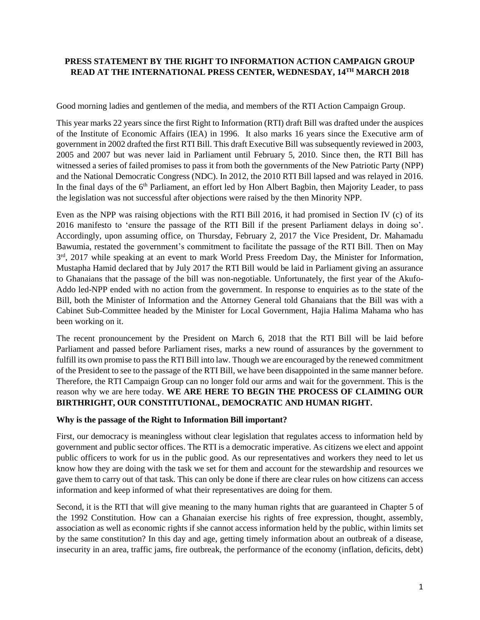## **PRESS STATEMENT BY THE RIGHT TO INFORMATION ACTION CAMPAIGN GROUP READ AT THE INTERNATIONAL PRESS CENTER, WEDNESDAY, 14TH MARCH 2018**

Good morning ladies and gentlemen of the media, and members of the RTI Action Campaign Group.

This year marks 22 years since the first Right to Information (RTI) draft Bill was drafted under the auspices of the Institute of Economic Affairs (IEA) in 1996. It also marks 16 years since the Executive arm of government in 2002 drafted the first RTI Bill. This draft Executive Bill was subsequently reviewed in 2003, 2005 and 2007 but was never laid in Parliament until February 5, 2010. Since then, the RTI Bill has witnessed a series of failed promises to pass it from both the governments of the New Patriotic Party (NPP) and the National Democratic Congress (NDC). In 2012, the 2010 RTI Bill lapsed and was relayed in 2016. In the final days of the  $6<sup>th</sup>$  Parliament, an effort led by Hon Albert Bagbin, then Majority Leader, to pass the legislation was not successful after objections were raised by the then Minority NPP.

Even as the NPP was raising objections with the RTI Bill 2016, it had promised in Section IV (c) of its 2016 manifesto to 'ensure the passage of the RTI Bill if the present Parliament delays in doing so'. Accordingly, upon assuming office, on Thursday, February 2, 2017 the Vice President, Dr. Mahamadu Bawumia, restated the government's commitment to facilitate the passage of the RTI Bill. Then on May 3<sup>rd</sup>, 2017 while speaking at an event to mark World Press Freedom Day, the Minister for Information, Mustapha Hamid declared that by July 2017 the RTI Bill would be laid in Parliament giving an assurance to Ghanaians that the passage of the bill was non-negotiable. Unfortunately, the first year of the Akufo-Addo led-NPP ended with no action from the government. In response to enquiries as to the state of the Bill, both the Minister of Information and the Attorney General told Ghanaians that the Bill was with a Cabinet Sub-Committee headed by the Minister for Local Government, Hajia Halima Mahama who has been working on it.

The recent pronouncement by the President on March 6, 2018 that the RTI Bill will be laid before Parliament and passed before Parliament rises, marks a new round of assurances by the government to fulfill its own promise to pass the RTI Bill into law. Though we are encouraged by the renewed commitment of the President to see to the passage of the RTI Bill, we have been disappointed in the same manner before. Therefore, the RTI Campaign Group can no longer fold our arms and wait for the government. This is the reason why we are here today. **WE ARE HERE TO BEGIN THE PROCESS OF CLAIMING OUR BIRTHRIGHT, OUR CONSTITUTIONAL, DEMOCRATIC AND HUMAN RIGHT.**

## **Why is the passage of the Right to Information Bill important?**

First, our democracy is meaningless without clear legislation that regulates access to information held by government and public sector offices. The RTI is a democratic imperative. As citizens we elect and appoint public officers to work for us in the public good. As our representatives and workers they need to let us know how they are doing with the task we set for them and account for the stewardship and resources we gave them to carry out of that task. This can only be done if there are clear rules on how citizens can access information and keep informed of what their representatives are doing for them.

Second, it is the RTI that will give meaning to the many human rights that are guaranteed in Chapter 5 of the 1992 Constitution. How can a Ghanaian exercise his rights of free expression, thought, assembly, association as well as economic rights if she cannot access information held by the public, within limits set by the same constitution? In this day and age, getting timely information about an outbreak of a disease, insecurity in an area, traffic jams, fire outbreak, the performance of the economy (inflation, deficits, debt)